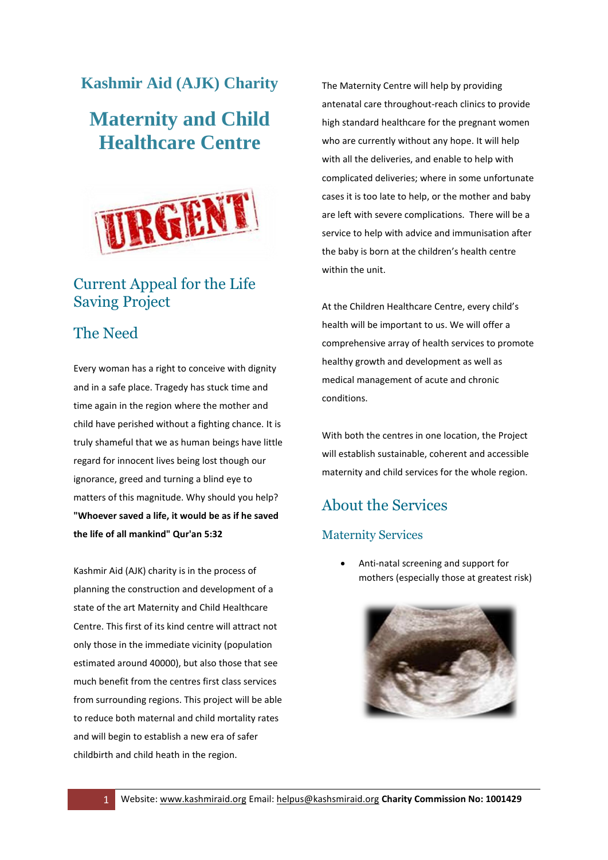## **Kashmir Aid (AJK) Charity**

# **Maternity and Child Healthcare Centre**



# Current Appeal for the Life Saving Project

### The Need

Every woman has a right to conceive with dignity and in a safe place. Tragedy has stuck time and time again in the region where the mother and child have perished without a fighting chance. It is truly shameful that we as human beings have little regard for innocent lives being lost though our ignorance, greed and turning a blind eye to matters of this magnitude. Why should you help? **"Whoever saved a life, it would be as if he saved the life of all mankind" Qur'an 5:32**

Kashmir Aid (AJK) charity is in the process of planning the construction and development of a state of the art Maternity and Child Healthcare Centre. This first of its kind centre will attract not only those in the immediate vicinity (population estimated around 40000), but also those that see much benefit from the centres first class services from surrounding regions. This project will be able to reduce both maternal and child mortality rates and will begin to establish a new era of safer childbirth and child heath in the region.

The Maternity Centre will help by providing antenatal care throughout-reach clinics to provide high standard healthcare for the pregnant women who are currently without any hope. It will help with all the deliveries, and enable to help with complicated deliveries; where in some unfortunate cases it is too late to help, or the mother and baby are left with severe complications. There will be a service to help with advice and immunisation after the baby is born at the children's health centre within the unit.

At the Children Healthcare Centre, every child's health will be important to us. We will offer a comprehensive array of health services to promote healthy growth and development as well as medical management of acute and chronic conditions.

With both the centres in one location, the Project will establish sustainable, coherent and accessible maternity and child services for the whole region.

# About the Services

### Maternity Services

 Anti-natal screening and support for mothers (especially those at greatest risk)

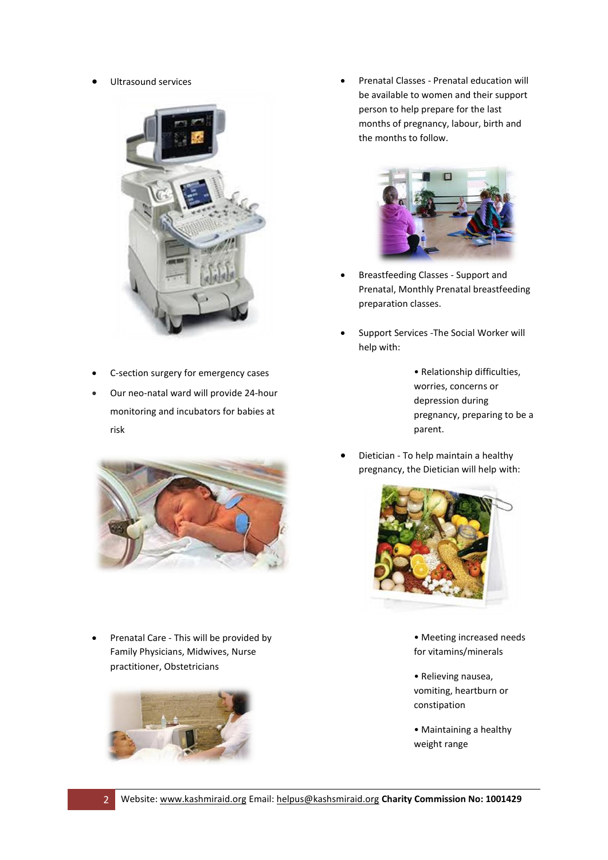Ultrasound services



- C-section surgery for emergency cases
- Our neo-natal ward will provide 24-hour monitoring and incubators for babies at risk



• Prenatal Care - This will be provided by Family Physicians, Midwives, Nurse practitioner, Obstetricians



 Prenatal Classes - Prenatal education will be available to women and their support person to help prepare for the last months of pregnancy, labour, birth and the months to follow.



- Breastfeeding Classes Support and Prenatal, Monthly Prenatal breastfeeding preparation classes.
- Support Services -The Social Worker will help with:
	- Relationship difficulties, worries, concerns or depression during pregnancy, preparing to be a parent.
- Dietician To help maintain a healthy pregnancy, the Dietician will help with:



- Meeting increased needs for vitamins/minerals
- Relieving nausea, vomiting, heartburn or constipation
- Maintaining a healthy weight range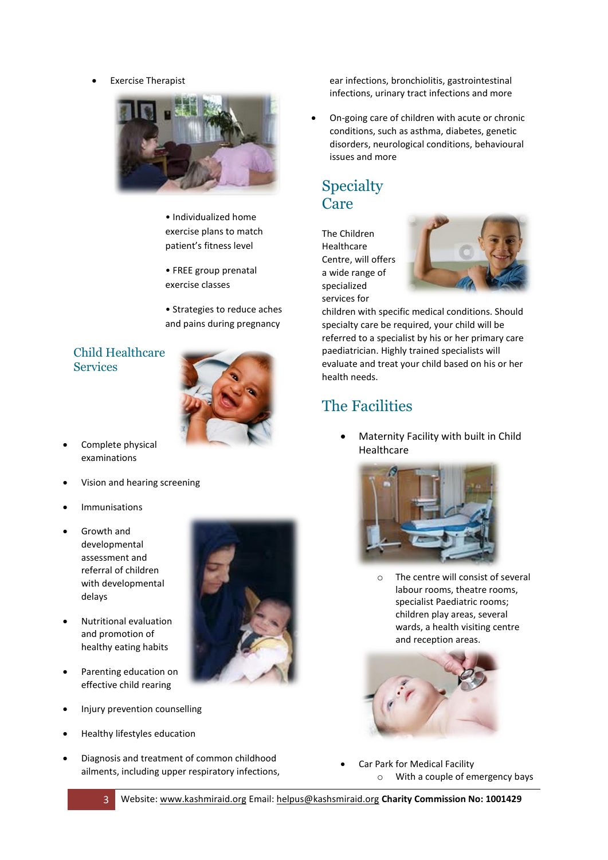Exercise Therapist



• Individualized home exercise plans to match patient's fitness level

• FREE group prenatal exercise classes

• Strategies to reduce aches and pains during pregnancy

### Child Healthcare **Services**



- Complete physical examinations
- Vision and hearing screening
- Immunisations
- Growth and developmental assessment and referral of children with developmental delays
- Nutritional evaluation and promotion of healthy eating habits
- Parenting education on effective child rearing
- Injury prevention counselling
- Healthy lifestyles education
- Diagnosis and treatment of common childhood ailments, including upper respiratory infections,

ear infections, bronchiolitis, gastrointestinal infections, urinary tract infections and more

 On-going care of children with acute or chronic conditions, such as asthma, diabetes, genetic disorders, neurological conditions, behavioural issues and more

# **Specialty** Care

The Children Healthcare Centre, will offers a wide range of specialized services for



children with specific medical conditions. Should specialty care be required, your child will be referred to a specialist by his or her primary care paediatrician. Highly trained specialists will evaluate and treat your child based on his or her health needs.

# The Facilities

 Maternity Facility with built in Child Healthcare



o The centre will consist of several labour rooms, theatre rooms, specialist Paediatric rooms; children play areas, several wards, a health visiting centre and reception areas.



 Car Park for Medical Facility o With a couple of emergency bays